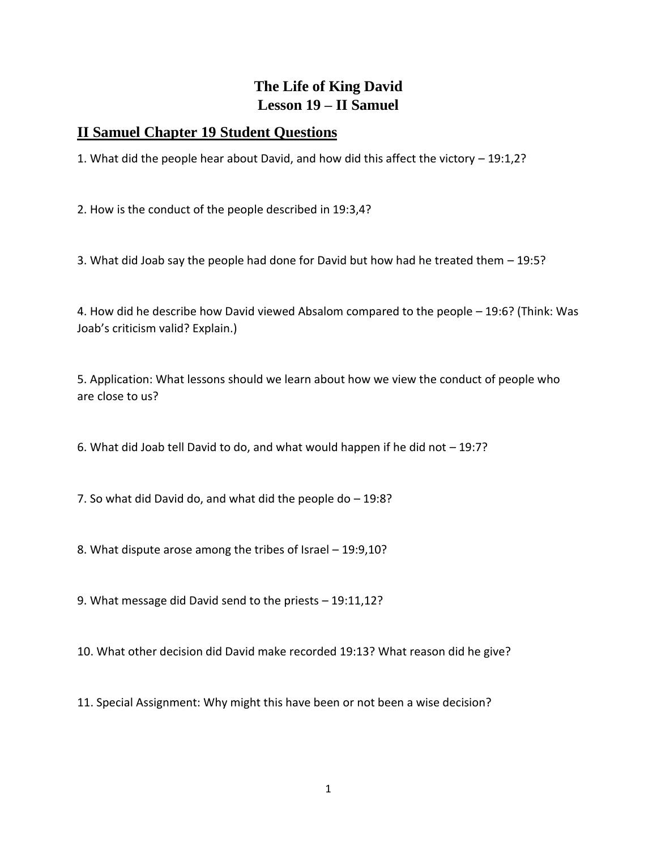## **The Life of King David Lesson 19 – II Samuel**

## **II Samuel Chapter 19 Student Questions**

1. What did the people hear about David, and how did this affect the victory – 19:1,2?

2. How is the conduct of the people described in 19:3,4?

3. What did Joab say the people had done for David but how had he treated them – 19:5?

4. How did he describe how David viewed Absalom compared to the people – 19:6? (Think: Was Joab's criticism valid? Explain.)

5. Application: What lessons should we learn about how we view the conduct of people who are close to us?

6. What did Joab tell David to do, and what would happen if he did not – 19:7?

7. So what did David do, and what did the people do – 19:8?

8. What dispute arose among the tribes of Israel – 19:9,10?

9. What message did David send to the priests – 19:11,12?

10. What other decision did David make recorded 19:13? What reason did he give?

11. Special Assignment: Why might this have been or not been a wise decision?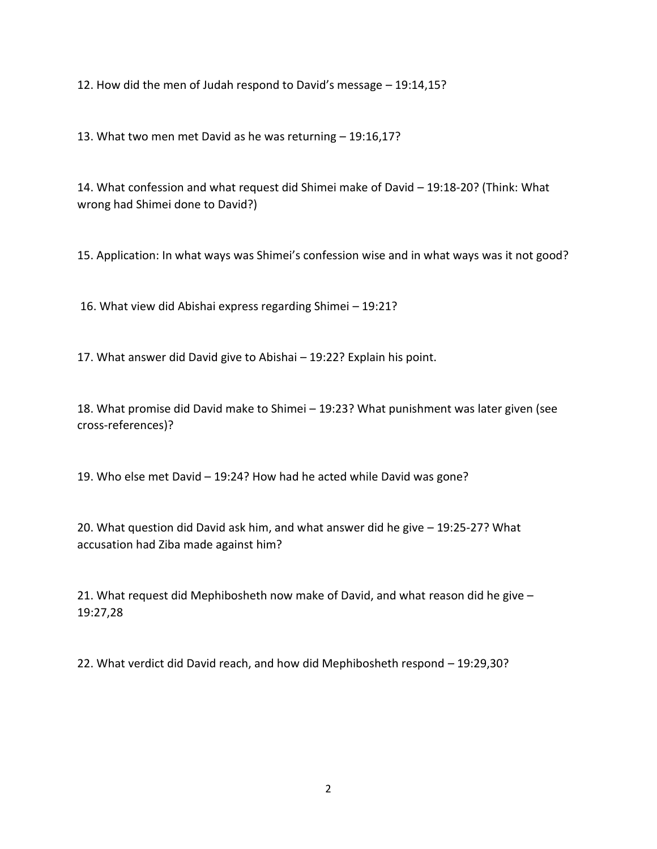12. How did the men of Judah respond to David's message – 19:14,15?

13. What two men met David as he was returning – 19:16,17?

14. What confession and what request did Shimei make of David – 19:18-20? (Think: What wrong had Shimei done to David?)

15. Application: In what ways was Shimei's confession wise and in what ways was it not good?

16. What view did Abishai express regarding Shimei – 19:21?

17. What answer did David give to Abishai – 19:22? Explain his point.

18. What promise did David make to Shimei – 19:23? What punishment was later given (see cross-references)?

19. Who else met David – 19:24? How had he acted while David was gone?

20. What question did David ask him, and what answer did he give – 19:25-27? What accusation had Ziba made against him?

21. What request did Mephibosheth now make of David, and what reason did he give – 19:27,28

22. What verdict did David reach, and how did Mephibosheth respond – 19:29,30?